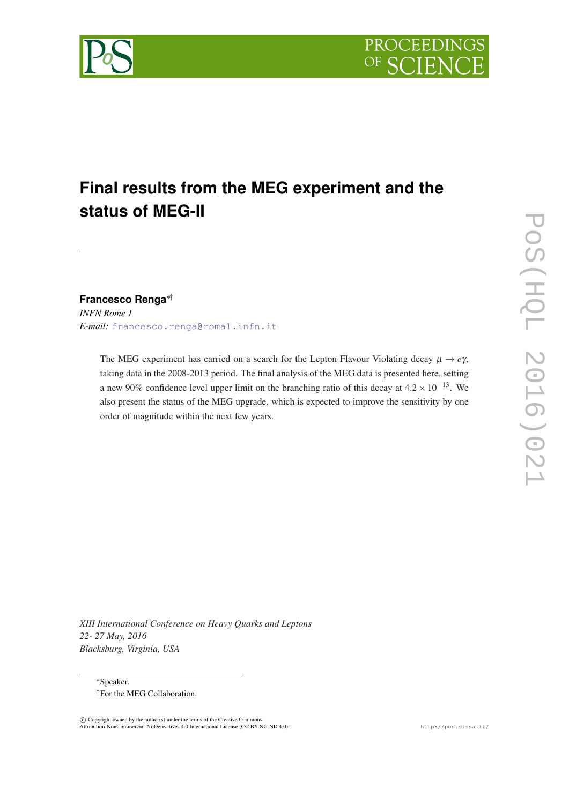

# **Final results from the MEG experiment and the status of MEG-II**

# **Francesco Renga**∗†

*INFN Rome 1 E-mail:* [francesco.renga@roma1.infn.it](mailto:francesco.renga@roma1.infn.it)

> The MEG experiment has carried on a search for the Lepton Flavour Violating decay  $\mu \rightarrow e\gamma$ , taking data in the 2008-2013 period. The final analysis of the MEG data is presented here, setting a new 90% confidence level upper limit on the branching ratio of this decay at  $4.2 \times 10^{-13}$ . We also present the status of the MEG upgrade, which is expected to improve the sensitivity by one order of magnitude within the next few years.

*XIII International Conference on Heavy Quarks and Leptons 22- 27 May, 2016 Blacksburg, Virginia, USA*

<sup>∗</sup>Speaker. †For the MEG Collaboration.

 $\odot$  Copyright owned by the author(s) under the terms of the Creative Commons Attribution-NonCommercial-NoDerivatives 4.0 International License (CC BY-NC-ND 4.0). http://pos.sissa.it/

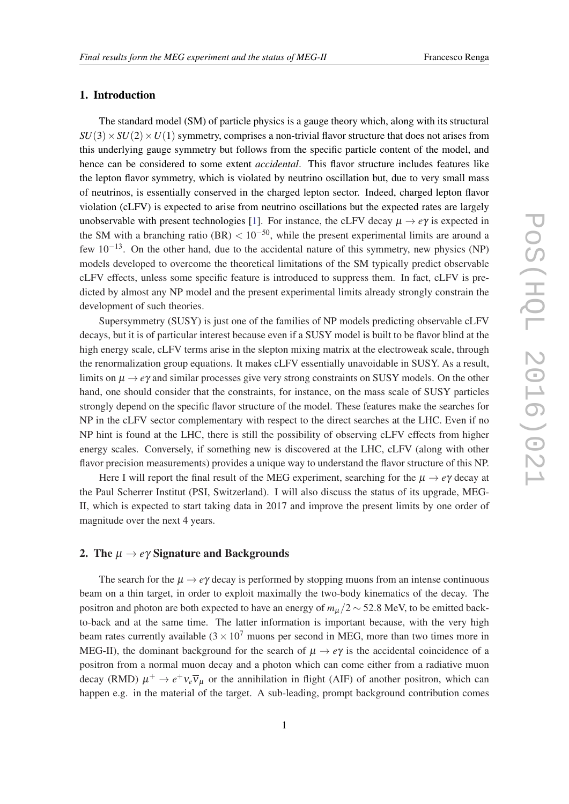#### 1. Introduction

The standard model (SM) of particle physics is a gauge theory which, along with its structural  $SU(3) \times SU(2) \times U(1)$  symmetry, comprises a non-trivial flavor structure that does not arises from this underlying gauge symmetry but follows from the specific particle content of the model, and hence can be considered to some extent *accidental*. This flavor structure includes features like the lepton flavor symmetry, which is violated by neutrino oscillation but, due to very small mass of neutrinos, is essentially conserved in the charged lepton sector. Indeed, charged lepton flavor violation (cLFV) is expected to arise from neutrino oscillations but the expected rates are largely unobservable with present technologies [[1](#page-7-0)]. For instance, the cLFV decay  $\mu \to e\gamma$  is expected in the SM with a branching ratio (BR)  $< 10^{-50}$ , while the present experimental limits are around a few 10−13. On the other hand, due to the accidental nature of this symmetry, new physics (NP) models developed to overcome the theoretical limitations of the SM typically predict observable cLFV effects, unless some specific feature is introduced to suppress them. In fact, cLFV is predicted by almost any NP model and the present experimental limits already strongly constrain the development of such theories.

Supersymmetry (SUSY) is just one of the families of NP models predicting observable cLFV decays, but it is of particular interest because even if a SUSY model is built to be flavor blind at the high energy scale, cLFV terms arise in the slepton mixing matrix at the electroweak scale, through the renormalization group equations. It makes cLFV essentially unavoidable in SUSY. As a result, limits on  $\mu \rightarrow e\gamma$  and similar processes give very strong constraints on SUSY models. On the other hand, one should consider that the constraints, for instance, on the mass scale of SUSY particles strongly depend on the specific flavor structure of the model. These features make the searches for NP in the cLFV sector complementary with respect to the direct searches at the LHC. Even if no NP hint is found at the LHC, there is still the possibility of observing cLFV effects from higher energy scales. Conversely, if something new is discovered at the LHC, cLFV (along with other flavor precision measurements) provides a unique way to understand the flavor structure of this NP.

Here I will report the final result of the MEG experiment, searching for the  $\mu \rightarrow e\gamma$  decay at the Paul Scherrer Institut (PSI, Switzerland). I will also discuss the status of its upgrade, MEG-II, which is expected to start taking data in 2017 and improve the present limits by one order of magnitude over the next 4 years.

### 2. The  $\mu \rightarrow e\gamma$  Signature and Backgrounds

The search for the  $\mu \rightarrow e\gamma$  decay is performed by stopping muons from an intense continuous beam on a thin target, in order to exploit maximally the two-body kinematics of the decay. The positron and photon are both expected to have an energy of *m*<sup>µ</sup> /2 ∼ 52.8 MeV, to be emitted backto-back and at the same time. The latter information is important because, with the very high beam rates currently available  $(3 \times 10^7$  muons per second in MEG, more than two times more in MEG-II), the dominant background for the search of  $\mu \to e\gamma$  is the accidental coincidence of a positron from a normal muon decay and a photon which can come either from a radiative muon decay (RMD)  $\mu^+ \to e^+ \nu_e \overline{\nu}_\mu$  or the annihilation in flight (AIF) of another positron, which can happen e.g. in the material of the target. A sub-leading, prompt background contribution comes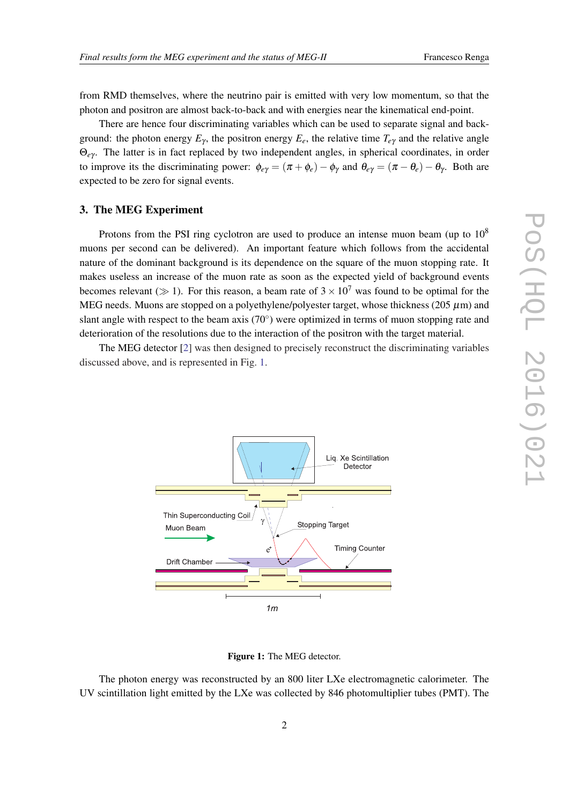from RMD themselves, where the neutrino pair is emitted with very low momentum, so that the photon and positron are almost back-to-back and with energies near the kinematical end-point.

There are hence four discriminating variables which can be used to separate signal and background: the photon energy  $E_\gamma$ , the positron energy  $E_e$ , the relative time  $T_{e\gamma}$  and the relative angle Θ*e*<sup>γ</sup> . The latter is in fact replaced by two independent angles, in spherical coordinates, in order to improve its the discriminating power:  $\phi_{e\gamma} = (\pi + \phi_e) - \phi_\gamma$  and  $\theta_{e\gamma} = (\pi - \theta_e) - \theta_\gamma$ . Both are expected to be zero for signal events.

#### 3. The MEG Experiment

Protons from the PSI ring cyclotron are used to produce an intense muon beam (up to  $10<sup>8</sup>$ muons per second can be delivered). An important feature which follows from the accidental nature of the dominant background is its dependence on the square of the muon stopping rate. It makes useless an increase of the muon rate as soon as the expected yield of background events becomes relevant ( $\gg$  1). For this reason, a beam rate of  $3 \times 10^7$  was found to be optimal for the MEG needs. Muons are stopped on a polyethylene/polyester target, whose thickness (205  $\mu$ m) and slant angle with respect to the beam axis  $(70^{\circ})$  were optimized in terms of muon stopping rate and deterioration of the resolutions due to the interaction of the positron with the target material.

The MEG detector [[2](#page-7-0)] was then designed to precisely reconstruct the discriminating variables discussed above, and is represented in Fig. 1.



Figure 1: The MEG detector.

The photon energy was reconstructed by an 800 liter LXe electromagnetic calorimeter. The UV scintillation light emitted by the LXe was collected by 846 photomultiplier tubes (PMT). The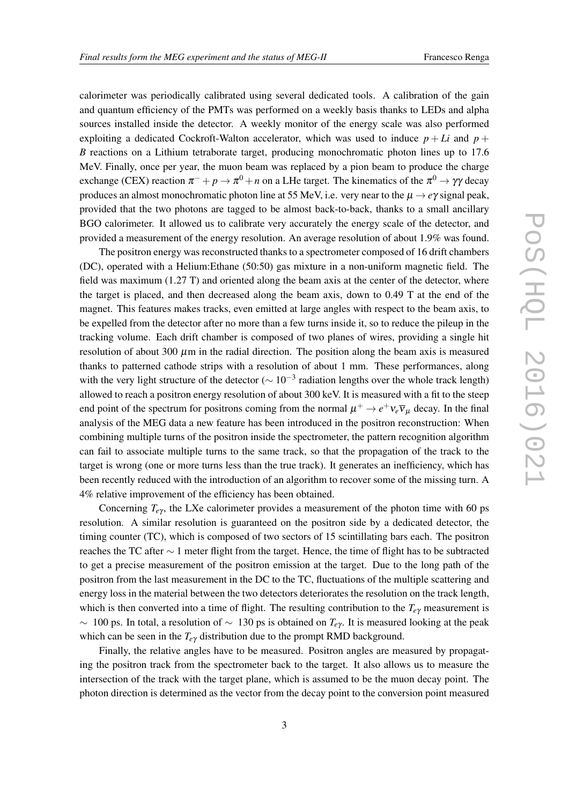calorimeter was periodically calibrated using several dedicated tools. A calibration of the gain and quantum efficiency of the PMTs was performed on a weekly basis thanks to LEDs and alpha sources installed inside the detector. A weekly monitor of the energy scale was also performed exploiting a dedicated Cockroft-Walton accelerator, which was used to induce  $p + Li$  and  $p +$ *B* reactions on a Lithium tetraborate target, producing monochromatic photon lines up to 17.6 MeV. Finally, once per year, the muon beam was replaced by a pion beam to produce the charge exchange (CEX) reaction  $\pi^-+p\to\pi^0+n$  on a LHe target. The kinematics of the  $\pi^0\to\gamma\gamma$  decay produces an almost monochromatic photon line at 55 MeV, i.e. very near to the  $\mu \to e\gamma$  signal peak, provided that the two photons are tagged to be almost back-to-back, thanks to a small ancillary BGO calorimeter. It allowed us to calibrate very accurately the energy scale of the detector, and provided a measurement of the energy resolution. An average resolution of about 1.9% was found.

The positron energy was reconstructed thanks to a spectrometer composed of 16 drift chambers (DC), operated with a Helium:Ethane (50:50) gas mixture in a non-uniform magnetic field. The field was maximum (1.27 T) and oriented along the beam axis at the center of the detector, where the target is placed, and then decreased along the beam axis, down to 0.49 T at the end of the magnet. This features makes tracks, even emitted at large angles with respect to the beam axis, to be expelled from the detector after no more than a few turns inside it, so to reduce the pileup in the tracking volume. Each drift chamber is composed of two planes of wires, providing a single hit resolution of about 300  $\mu$ m in the radial direction. The position along the beam axis is measured thanks to patterned cathode strips with a resolution of about 1 mm. These performances, along with the very light structure of the detector ( $\sim 10^{-3}$  radiation lengths over the whole track length) allowed to reach a positron energy resolution of about 300 keV. It is measured with a fit to the steep end point of the spectrum for positrons coming from the normal  $\mu^+ \to e^+ \nu_e \overline{\nu}_\mu$  decay. In the final analysis of the MEG data a new feature has been introduced in the positron reconstruction: When combining multiple turns of the positron inside the spectrometer, the pattern recognition algorithm can fail to associate multiple turns to the same track, so that the propagation of the track to the target is wrong (one or more turns less than the true track). It generates an inefficiency, which has been recently reduced with the introduction of an algorithm to recover some of the missing turn. A 4% relative improvement of the efficiency has been obtained.

Concerning  $T_{e\gamma}$ , the LXe calorimeter provides a measurement of the photon time with 60 ps resolution. A similar resolution is guaranteed on the positron side by a dedicated detector, the timing counter (TC), which is composed of two sectors of 15 scintillating bars each. The positron reaches the TC after ∼ 1 meter flight from the target. Hence, the time of flight has to be subtracted to get a precise measurement of the positron emission at the target. Due to the long path of the positron from the last measurement in the DC to the TC, fluctuations of the multiple scattering and energy loss in the material between the two detectors deteriorates the resolution on the track length, which is then converted into a time of flight. The resulting contribution to the *Te*<sup>γ</sup> measurement is ∼ 100 ps. In total, a resolution of ∼ 130 ps is obtained on *Te*<sup>γ</sup> . It is measured looking at the peak which can be seen in the  $T_{e\gamma}$  distribution due to the prompt RMD background.

Finally, the relative angles have to be measured. Positron angles are measured by propagating the positron track from the spectrometer back to the target. It also allows us to measure the intersection of the track with the target plane, which is assumed to be the muon decay point. The photon direction is determined as the vector from the decay point to the conversion point measured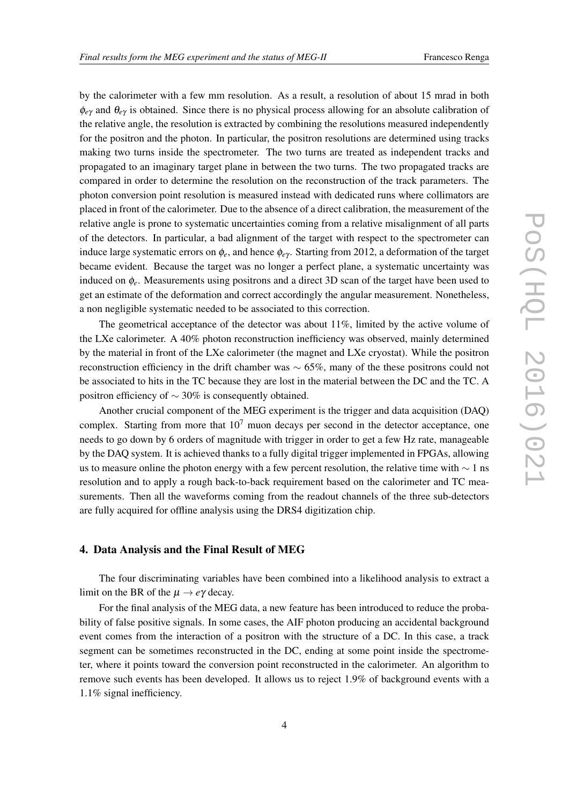by the calorimeter with a few mm resolution. As a result, a resolution of about 15 mrad in both φ*e*<sup>γ</sup> and θ*e*<sup>γ</sup> is obtained. Since there is no physical process allowing for an absolute calibration of the relative angle, the resolution is extracted by combining the resolutions measured independently for the positron and the photon. In particular, the positron resolutions are determined using tracks making two turns inside the spectrometer. The two turns are treated as independent tracks and propagated to an imaginary target plane in between the two turns. The two propagated tracks are compared in order to determine the resolution on the reconstruction of the track parameters. The photon conversion point resolution is measured instead with dedicated runs where collimators are placed in front of the calorimeter. Due to the absence of a direct calibration, the measurement of the relative angle is prone to systematic uncertainties coming from a relative misalignment of all parts of the detectors. In particular, a bad alignment of the target with respect to the spectrometer can induce large systematic errors on  $\phi_e$ , and hence  $\phi_{e\gamma}$ . Starting from 2012, a deformation of the target became evident. Because the target was no longer a perfect plane, a systematic uncertainty was induced on φ*e*. Measurements using positrons and a direct 3D scan of the target have been used to get an estimate of the deformation and correct accordingly the angular measurement. Nonetheless, a non negligible systematic needed to be associated to this correction.

The geometrical acceptance of the detector was about 11%, limited by the active volume of the LXe calorimeter. A 40% photon reconstruction inefficiency was observed, mainly determined by the material in front of the LXe calorimeter (the magnet and LXe cryostat). While the positron reconstruction efficiency in the drift chamber was  $\sim 65\%$ , many of the these positrons could not be associated to hits in the TC because they are lost in the material between the DC and the TC. A positron efficiency of  $\sim$  30% is consequently obtained.

Another crucial component of the MEG experiment is the trigger and data acquisition (DAQ) complex. Starting from more that  $10<sup>7</sup>$  muon decays per second in the detector acceptance, one needs to go down by 6 orders of magnitude with trigger in order to get a few Hz rate, manageable by the DAQ system. It is achieved thanks to a fully digital trigger implemented in FPGAs, allowing us to measure online the photon energy with a few percent resolution, the relative time with  $\sim 1$  ns resolution and to apply a rough back-to-back requirement based on the calorimeter and TC measurements. Then all the waveforms coming from the readout channels of the three sub-detectors are fully acquired for offline analysis using the DRS4 digitization chip.

### 4. Data Analysis and the Final Result of MEG

The four discriminating variables have been combined into a likelihood analysis to extract a limit on the BR of the  $\mu \to e\gamma$  decay.

For the final analysis of the MEG data, a new feature has been introduced to reduce the probability of false positive signals. In some cases, the AIF photon producing an accidental background event comes from the interaction of a positron with the structure of a DC. In this case, a track segment can be sometimes reconstructed in the DC, ending at some point inside the spectrometer, where it points toward the conversion point reconstructed in the calorimeter. An algorithm to remove such events has been developed. It allows us to reject 1.9% of background events with a 1.1% signal inefficiency.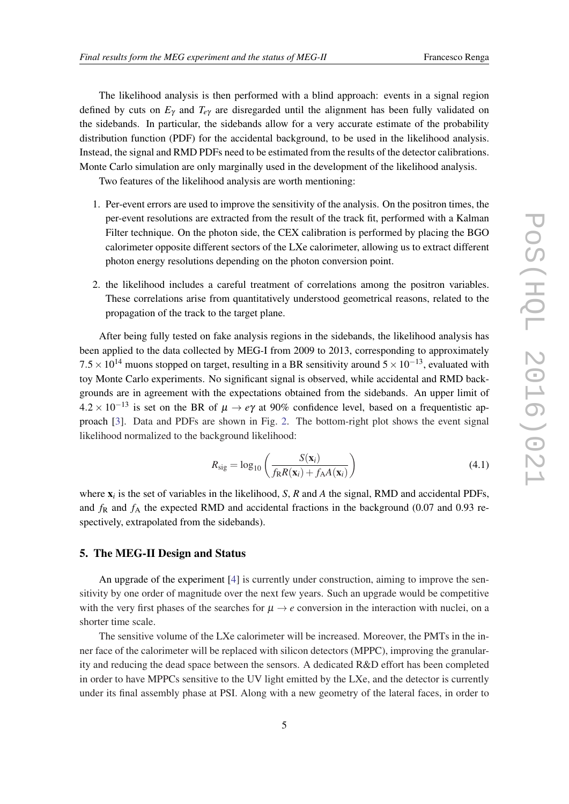The likelihood analysis is then performed with a blind approach: events in a signal region defined by cuts on  $E<sub>\gamma</sub>$  and  $T<sub>e</sub><sub>\gamma</sub>$  are disregarded until the alignment has been fully validated on the sidebands. In particular, the sidebands allow for a very accurate estimate of the probability distribution function (PDF) for the accidental background, to be used in the likelihood analysis. Instead, the signal and RMD PDFs need to be estimated from the results of the detector calibrations. Monte Carlo simulation are only marginally used in the development of the likelihood analysis.

Two features of the likelihood analysis are worth mentioning:

- 1. Per-event errors are used to improve the sensitivity of the analysis. On the positron times, the per-event resolutions are extracted from the result of the track fit, performed with a Kalman Filter technique. On the photon side, the CEX calibration is performed by placing the BGO calorimeter opposite different sectors of the LXe calorimeter, allowing us to extract different photon energy resolutions depending on the photon conversion point.
- 2. the likelihood includes a careful treatment of correlations among the positron variables. These correlations arise from quantitatively understood geometrical reasons, related to the propagation of the track to the target plane.

After being fully tested on fake analysis regions in the sidebands, the likelihood analysis has been applied to the data collected by MEG-I from 2009 to 2013, corresponding to approximately  $7.5 \times 10^{14}$  muons stopped on target, resulting in a BR sensitivity around  $5 \times 10^{-13}$ , evaluated with toy Monte Carlo experiments. No significant signal is observed, while accidental and RMD backgrounds are in agreement with the expectations obtained from the sidebands. An upper limit of  $4.2 \times 10^{-13}$  is set on the BR of  $\mu \rightarrow e\gamma$  at 90% confidence level, based on a frequentistic approach [[3](#page-7-0)]. Data and PDFs are shown in Fig. [2](#page-6-0). The bottom-right plot shows the event signal likelihood normalized to the background likelihood:

$$
R_{\rm sig} = \log_{10} \left( \frac{S(\mathbf{x}_i)}{f_R R(\mathbf{x}_i) + f_A A(\mathbf{x}_i)} \right)
$$
(4.1)

where x*<sup>i</sup>* is the set of variables in the likelihood, *S*, *R* and *A* the signal, RMD and accidental PDFs, and  $f_R$  and  $f_A$  the expected RMD and accidental fractions in the background (0.07 and 0.93 respectively, extrapolated from the sidebands).

#### 5. The MEG-II Design and Status

An upgrade of the experiment [[4](#page-7-0)] is currently under construction, aiming to improve the sensitivity by one order of magnitude over the next few years. Such an upgrade would be competitive with the very first phases of the searches for  $\mu \to e$  conversion in the interaction with nuclei, on a shorter time scale.

The sensitive volume of the LXe calorimeter will be increased. Moreover, the PMTs in the inner face of the calorimeter will be replaced with silicon detectors (MPPC), improving the granularity and reducing the dead space between the sensors. A dedicated R&D effort has been completed in order to have MPPCs sensitive to the UV light emitted by the LXe, and the detector is currently under its final assembly phase at PSI. Along with a new geometry of the lateral faces, in order to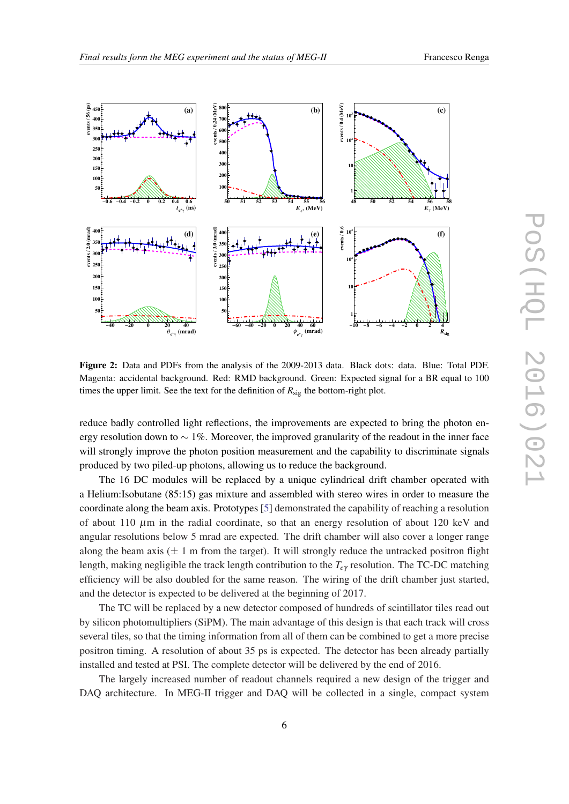<span id="page-6-0"></span>

Figure 2: Data and PDFs from the analysis of the 2009-2013 data. Black dots: data. Blue: Total PDF. Magenta: accidental background. Red: RMD background. Green: Expected signal for a BR equal to 100 times the upper limit. See the text for the definition of  $R_{sig}$  the bottom-right plot.

reduce badly controlled light reflections, the improvements are expected to bring the photon energy resolution down to  $\sim 1\%$ . Moreover, the improved granularity of the readout in the inner face will strongly improve the photon position measurement and the capability to discriminate signals produced by two piled-up photons, allowing us to reduce the background.

The 16 DC modules will be replaced by a unique cylindrical drift chamber operated with a Helium:Isobutane (85:15) gas mixture and assembled with stereo wires in order to measure the coordinate along the beam axis. Prototypes [\[5\]](#page-7-0) demonstrated the capability of reaching a resolution of about 110  $\mu$ m in the radial coordinate, so that an energy resolution of about 120 keV and angular resolutions below 5 mrad are expected. The drift chamber will also cover a longer range along the beam axis ( $\pm 1$  m from the target). It will strongly reduce the untracked positron flight length, making negligible the track length contribution to the *Te*<sup>γ</sup> resolution. The TC-DC matching efficiency will be also doubled for the same reason. The wiring of the drift chamber just started, and the detector is expected to be delivered at the beginning of 2017.

The TC will be replaced by a new detector composed of hundreds of scintillator tiles read out by silicon photomultipliers (SiPM). The main advantage of this design is that each track will cross several tiles, so that the timing information from all of them can be combined to get a more precise positron timing. A resolution of about 35 ps is expected. The detector has been already partially installed and tested at PSI. The complete detector will be delivered by the end of 2016.

The largely increased number of readout channels required a new design of the trigger and DAQ architecture. In MEG-II trigger and DAQ will be collected in a single, compact system